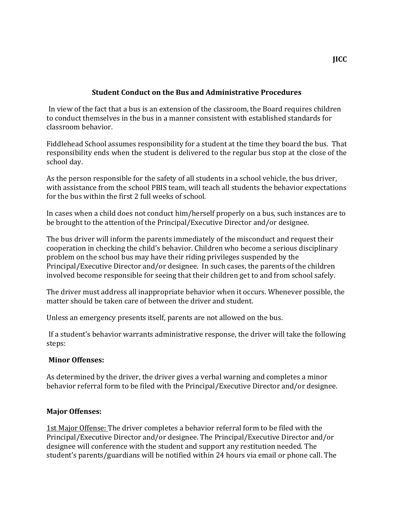## **Student Conduct on the Bus and Administrative Procedures**

In view of the fact that a bus is an extension of the classroom, the Board requires children to conduct themselves in the bus in a manner consistent with established standards for classroom behavior.

Fiddlehead School assumes responsibility for a student at the time they board the bus. That responsibility ends when the student is delivered to the regular bus stop at the close of the school day.

As the person responsible for the safety of all students in a school vehicle, the bus driver, with assistance from the school PBIS team, will teach all students the behavior expectations for the bus within the first 2 full weeks of school.

In cases when a child does not conduct him/herself properly on a bus, such instances are to be brought to the attention of the Principal/Executive Director and/or designee.

The bus driver will inform the parents immediately of the misconduct and request their cooperation in checking the child's behavior. Children who become a serious disciplinary problem on the school bus may have their riding privileges suspended by the Principal/Executive Director and/or designee. In such cases, the parents of the children involved become responsible for seeing that their children get to and from school safely.

The driver must address all inappropriate behavior when it occurs. Whenever possible, the matter should be taken care of between the driver and student.

Unless an emergency presents itself, parents are not allowed on the bus.

If a student's behavior warrants administrative response, the driver will take the following steps:

## **Minor Offenses:**

As determined by the driver, the driver gives a verbal warning and completes a minor behavior referral form to be filed with the Principal/Executive Director and/or designee.

## **Major Offenses:**

1st Major Offense: The driver completes a behavior referral form to be filed with the Principal/Executive Director and/or designee. The Principal/Executive Director and/or designee will conference with the student and support any restitution needed. The student's parents/guardians will be notified within 24 hours via email or phone call. The